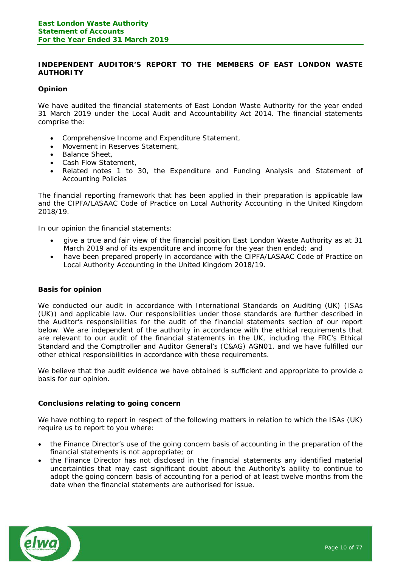## **INDEPENDENT AUDITOR'S REPORT TO THE MEMBERS OF EAST LONDON WASTE AUTHORITY**

## **Opinion**

We have audited the financial statements of East London Waste Authority for the year ended 31 March 2019 under the Local Audit and Accountability Act 2014. The financial statements comprise the:

- · Comprehensive Income and Expenditure Statement,
- Movement in Reserves Statement,
- Balance Sheet,
- · Cash Flow Statement,
- Related notes 1 to 30, the Expenditure and Funding Analysis and Statement of Accounting Policies

The financial reporting framework that has been applied in their preparation is applicable law and the CIPFA/LASAAC Code of Practice on Local Authority Accounting in the United Kingdom 2018/19.

In our opinion the financial statements:

- · give a true and fair view of the financial position East London Waste Authority as at 31 March 2019 and of its expenditure and income for the year then ended; and
- · have been prepared properly in accordance with the CIPFA/LASAAC Code of Practice on Local Authority Accounting in the United Kingdom 2018/19.

## **Basis for opinion**

We conducted our audit in accordance with International Standards on Auditing (UK) (ISAs (UK)) and applicable law. Our responsibilities under those standards are further described in the Auditor's responsibilities for the audit of the financial statements section of our report below. We are independent of the authority in accordance with the ethical requirements that are relevant to our audit of the financial statements in the UK, including the FRC's Ethical Standard and the Comptroller and Auditor General's (C&AG) AGN01, and we have fulfilled our other ethical responsibilities in accordance with these requirements.

We believe that the audit evidence we have obtained is sufficient and appropriate to provide a basis for our opinion.

## **Conclusions relating to going concern**

We have nothing to report in respect of the following matters in relation to which the ISAs (UK) require us to report to you where:

- · the Finance Director's use of the going concern basis of accounting in the preparation of the financial statements is not appropriate; or
- · the Finance Director has not disclosed in the financial statements any identified material uncertainties that may cast significant doubt about the Authority's ability to continue to adopt the going concern basis of accounting for a period of at least twelve months from the date when the financial statements are authorised for issue.

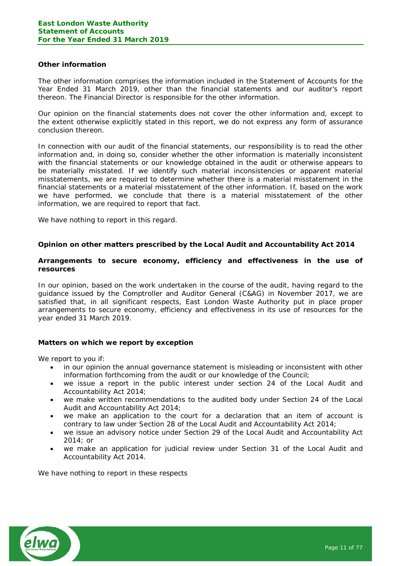### **Other information**

The other information comprises the information included in the Statement of Accounts for the Year Ended 31 March 2019, other than the financial statements and our auditor's report thereon. The Financial Director is responsible for the other information.

Our opinion on the financial statements does not cover the other information and, except to the extent otherwise explicitly stated in this report, we do not express any form of assurance conclusion thereon.

In connection with our audit of the financial statements, our responsibility is to read the other information and, in doing so, consider whether the other information is materially inconsistent with the financial statements or our knowledge obtained in the audit or otherwise appears to be materially misstated. If we identify such material inconsistencies or apparent material misstatements, we are required to determine whether there is a material misstatement in the financial statements or a material misstatement of the other information. If, based on the work we have performed, we conclude that there is a material misstatement of the other information, we are required to report that fact.

We have nothing to report in this regard.

**Opinion on other matters prescribed by the Local Audit and Accountability Act 2014**

**Arrangements to secure economy, efficiency and effectiveness in the use of resources**

In our opinion, based on the work undertaken in the course of the audit, having regard to the guidance issued by the Comptroller and Auditor General (C&AG) in November 2017, we are satisfied that, in all significant respects, East London Waste Authority put in place proper arrangements to secure economy, efficiency and effectiveness in its use of resources for the year ended 31 March 2019.

**Matters on which we report by exception**

We report to you if:

- in our opinion the annual governance statement is misleading or inconsistent with other information forthcoming from the audit or our knowledge of the Council;
- · we issue a report in the public interest under section 24 of the Local Audit and Accountability Act 2014;
- we make written recommendations to the audited body under Section 24 of the Local Audit and Accountability Act 2014;
- · we make an application to the court for a declaration that an item of account is contrary to law under Section 28 of the Local Audit and Accountability Act 2014;
- we issue an advisory notice under Section 29 of the Local Audit and Accountability Act 2014; or
- we make an application for judicial review under Section 31 of the Local Audit and Accountability Act 2014.

We have nothing to report in these respects

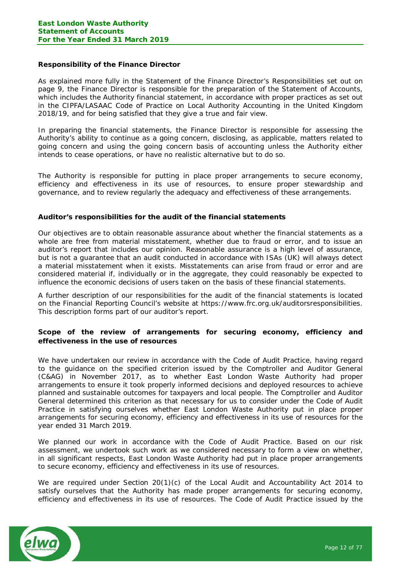# **Responsibility of the Finance Director**

As explained more fully in the Statement of the Finance Director's Responsibilities set out on page 9, the Finance Director is responsible for the preparation of the Statement of Accounts, which includes the Authority financial statement, in accordance with proper practices as set out in the CIPFA/LASAAC Code of Practice on Local Authority Accounting in the United Kingdom 2018/19, and for being satisfied that they give a true and fair view.

In preparing the financial statements, the Finance Director is responsible for assessing the Authority's ability to continue as a going concern, disclosing, as applicable, matters related to going concern and using the going concern basis of accounting unless the Authority either intends to cease operations, or have no realistic alternative but to do so.

The Authority is responsible for putting in place proper arrangements to secure economy, efficiency and effectiveness in its use of resources, to ensure proper stewardship and governance, and to review regularly the adequacy and effectiveness of these arrangements.

### **Auditor's responsibilities for the audit of the financial statements**

Our objectives are to obtain reasonable assurance about whether the financial statements as a whole are free from material misstatement, whether due to fraud or error, and to issue an auditor's report that includes our opinion. Reasonable assurance is a high level of assurance, but is not a guarantee that an audit conducted in accordance with ISAs (UK) will always detect a material misstatement when it exists. Misstatements can arise from fraud or error and are considered material if, individually or in the aggregate, they could reasonably be expected to influence the economic decisions of users taken on the basis of these financial statements.

A further description of our responsibilities for the audit of the financial statements is located on the Financial Reporting Council's website at https://www.frc.org.uk/auditorsresponsibilities. This description forms part of our auditor's report.

**Scope of the review of arrangements for securing economy, efficiency and effectiveness in the use of resources**

We have undertaken our review in accordance with the Code of Audit Practice, having regard to the guidance on the specified criterion issued by the Comptroller and Auditor General (C&AG) in November 2017, as to whether East London Waste Authority had proper arrangements to ensure it took properly informed decisions and deployed resources to achieve planned and sustainable outcomes for taxpayers and local people. The Comptroller and Auditor General determined this criterion as that necessary for us to consider under the Code of Audit Practice in satisfying ourselves whether East London Waste Authority put in place proper arrangements for securing economy, efficiency and effectiveness in its use of resources for the year ended 31 March 2019.

We planned our work in accordance with the Code of Audit Practice. Based on our risk assessment, we undertook such work as we considered necessary to form a view on whether, in all significant respects, East London Waste Authority had put in place proper arrangements to secure economy, efficiency and effectiveness in its use of resources.

We are required under Section 20(1)(c) of the Local Audit and Accountability Act 2014 to satisfy ourselves that the Authority has made proper arrangements for securing economy, efficiency and effectiveness in its use of resources. The Code of Audit Practice issued by the